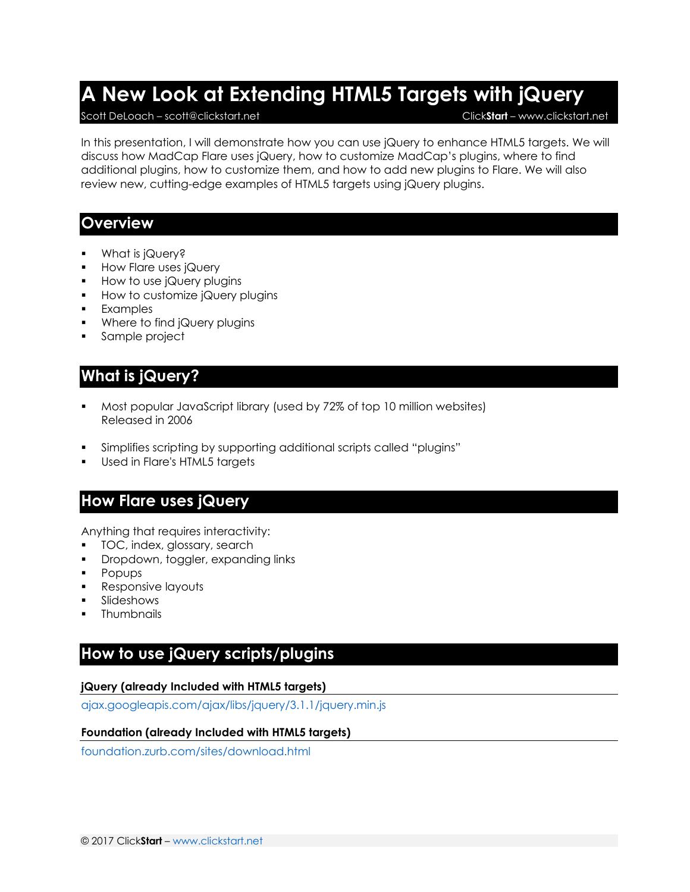# **A New Look at Extending HTML5 Targets with jQuery**

#### Scott DeLoach – scott@clickstart.net Click**Start** – www.clickstart.net

In this presentation, I will demonstrate how you can use jQuery to enhance HTML5 targets. We will discuss how MadCap Flare uses jQuery, how to customize MadCap's plugins, where to find additional plugins, how to customize them, and how to add new plugins to Flare. We will also review new, cutting-edge examples of HTML5 targets using jQuery plugins.

### **Overview**

- What is jQuery?
- How Flare uses jQuery
- **How to use jQuery plugins**
- **How to customize jQuery plugins**
- Examples
- **Where to find jQuery plugins**
- Sample project

# **What is jQuery?**

- Most popular JavaScript library (used by 72% of top 10 million websites) Released in 2006
- Simplifies scripting by supporting additional scripts called "plugins"
- Used in Flare's HTML5 targets

# **How Flare uses jQuery**

Anything that requires interactivity:

- **TOC, index, glossary, search**
- Dropdown, toggler, expanding links
- **Popups**
- Responsive layouts
- Slideshows
- **Thumbnails**

# **How to use jQuery scripts/plugins**

#### **jQuery (already Included with HTML5 targets)**

[ajax.googleapis.com/ajax/libs/jquery/3.1.1/jquery.min.js](https://ajax.googleapis.com/ajax/libs/jquery/3.1.1/jquery.min.js)

#### **Foundation (already Included with HTML5 targets)**

[foundation.zurb.com/sites/download.html](http://foundation.zurb.com/sites/download.html)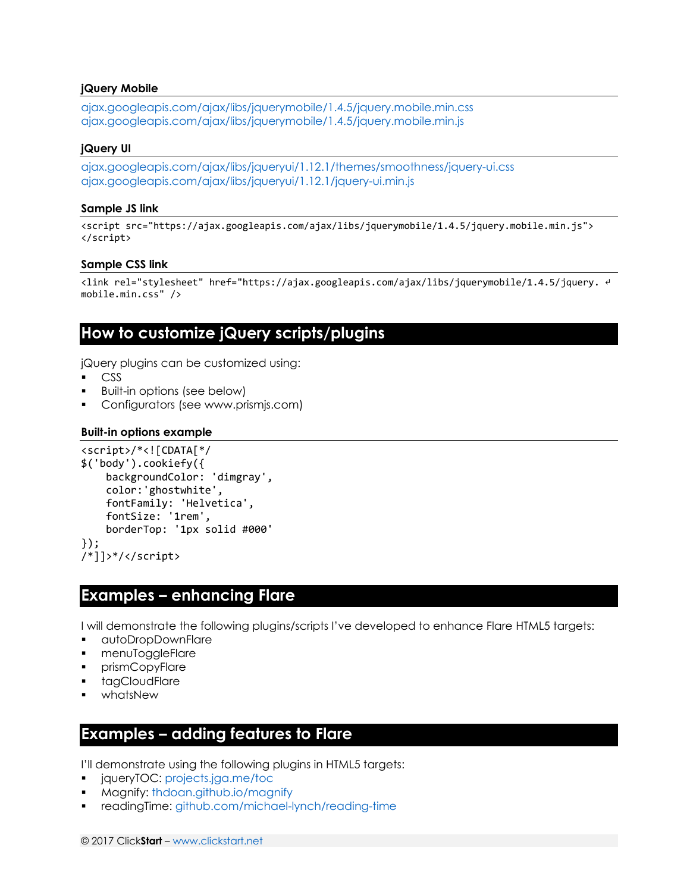#### **jQuery Mobile**

[ajax.googleapis.com/ajax/libs/jquerymobile/1.4.5/jquery.mobile.min.css](https://ajax.googleapis.com/ajax/libs/jquerymobile/1.4.5/jquery.mobile.min.css) [ajax.googleapis.com/ajax/libs/jquerymobile/1.4.5/jquery.mobile.min.js](https://ajax.googleapis.com/ajax/libs/jquerymobile/1.4.5/jquery.mobile.min.js)

#### **jQuery UI**

[ajax.googleapis.com/ajax/libs/jqueryui/1.12.1/themes/smoothness/jquery-ui.css](https://ajax.googleapis.com/ajax/libs/jqueryui/1.12.1/themes/smoothness/jquery-ui.css) [ajax.googleapis.com/ajax/libs/jqueryui/1.12.1/jquery-ui.min.js](https://ajax.googleapis.com/ajax/libs/jqueryui/1.12.1/jquery-ui.min.js)

#### **Sample JS link**

<script src="https://ajax.googleapis.com/ajax/libs/jquerymobile/1.4.5/jquery.mobile.min.js"> </script>

#### **Sample CSS link**

<link rel="stylesheet" href="https://ajax.googleapis.com/ajax/libs/jquerymobile/1.4.5/jquery. ↵ mobile.min.css" />

### **How to customize jQuery scripts/plugins**

jQuery plugins can be customized using:

- CSS
- Built-in options (see below)
- Configurators (see www.prismjs.com)

#### **Built-in options example**

```
<script>/*<![CDATA[*/
$('body').cookiefy({
     backgroundColor: 'dimgray',
     color:'ghostwhite',
     fontFamily: 'Helvetica',
     fontSize: '1rem',
     borderTop: '1px solid #000'
});
/*]]>*/</script>
```
### **Examples – enhancing Flare**

I will demonstrate the following plugins/scripts I've developed to enhance Flare HTML5 targets:

- autoDropDownFlare
- **nenuToggleFlare**
- prismCopyFlare
- tagCloudFlare
- whatsNew

### **Examples – adding features to Flare**

I'll demonstrate using the following plugins in HTML5 targets:

- **igueryTOC:<projects.jga.me/toc>less**
- Magnify:<thdoan.github.io/magnify>
- readingTime:<github.com/michael-lynch/reading-time>